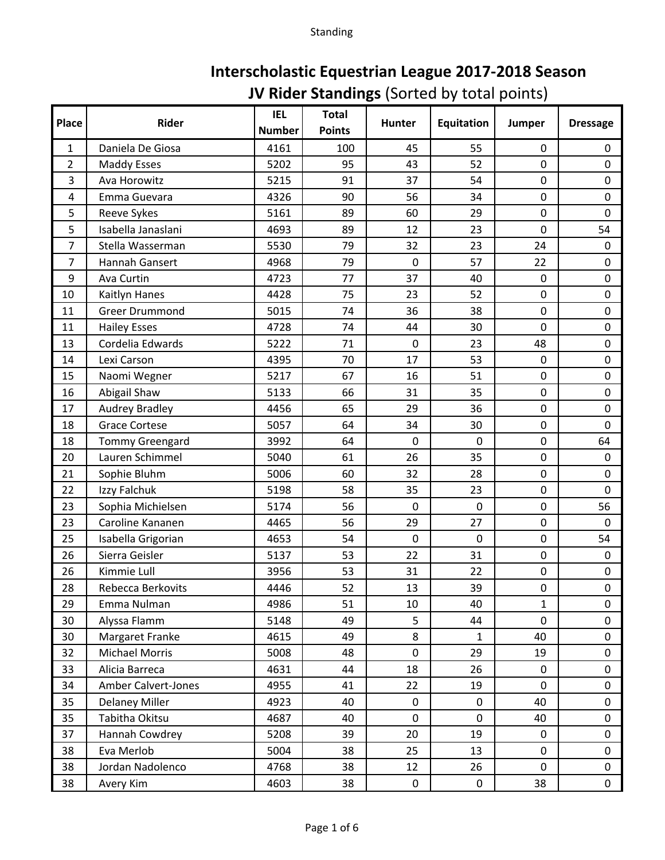## **Interscholastic Equestrian League 2017-2018 Season JV Rider Standings** (Sorted by total points)

| Place                                        | Rider                                                                                                                                                                | <b>IEL</b>                                           | <b>Total</b>                           | <b>Hunter</b>                                    | <b>Equitation</b>                              | Jumper                                          | <b>Dressage</b>                 |
|----------------------------------------------|----------------------------------------------------------------------------------------------------------------------------------------------------------------------|------------------------------------------------------|----------------------------------------|--------------------------------------------------|------------------------------------------------|-------------------------------------------------|---------------------------------|
|                                              |                                                                                                                                                                      | <b>Number</b>                                        | <b>Points</b>                          |                                                  |                                                |                                                 |                                 |
| 1                                            | Daniela De Giosa                                                                                                                                                     | 4161<br>5202                                         | 100<br>95                              | 45<br>43                                         | 55<br>52                                       | 0<br>0                                          | 0<br>$\mathbf 0$                |
| $\overline{2}$                               | <b>Maddy Esses</b>                                                                                                                                                   |                                                      | 91                                     | 37                                               | 54                                             | 0                                               |                                 |
| 3                                            | Ava Horowitz<br>Emma Guevara                                                                                                                                         | 5215                                                 | 90                                     | 56                                               | 34                                             | 0                                               | 0<br>$\mathbf 0$                |
| 4                                            |                                                                                                                                                                      | 4326                                                 |                                        | 60                                               | 29                                             | 0                                               |                                 |
| 5                                            | Reeve Sykes                                                                                                                                                          | 5161                                                 | 89                                     |                                                  |                                                |                                                 | 0                               |
| 5                                            | Isabella Janaslani                                                                                                                                                   | 4693                                                 | 89                                     | 12                                               | 23                                             | 0                                               | 54                              |
| $\overline{7}$                               | Stella Wasserman                                                                                                                                                     | 5530                                                 | 79                                     | 32                                               | 23                                             | 24                                              | $\boldsymbol{0}$                |
| $\overline{7}$                               | Hannah Gansert                                                                                                                                                       | 4968                                                 | 79                                     | $\pmb{0}$                                        | 57                                             | 22                                              | $\mathbf 0$                     |
| 9                                            | Ava Curtin                                                                                                                                                           | 4723                                                 | 77                                     | 37                                               | 40                                             | 0                                               | 0                               |
| 10                                           | Kaitlyn Hanes                                                                                                                                                        | 4428                                                 | 75                                     | 23                                               | 52                                             | 0                                               | 0                               |
| 11                                           | <b>Greer Drummond</b>                                                                                                                                                | 5015                                                 | 74                                     | 36                                               | 38                                             | 0                                               | 0                               |
| 11                                           | <b>Hailey Esses</b>                                                                                                                                                  | 4728                                                 | 74                                     | 44                                               | 30                                             | 0                                               | 0                               |
| 13                                           | Cordelia Edwards                                                                                                                                                     | 5222                                                 | 71                                     | $\mathbf 0$                                      | 23                                             | 48                                              | 0                               |
| 14                                           | Lexi Carson                                                                                                                                                          | 4395                                                 | 70                                     | 17                                               | 53                                             | $\pmb{0}$                                       | $\pmb{0}$                       |
| 15                                           | Naomi Wegner                                                                                                                                                         | 5217                                                 | 67                                     | 16                                               | 51                                             | 0                                               | 0                               |
| 16                                           | Abigail Shaw                                                                                                                                                         | 5133                                                 | 66                                     | 31                                               | 35                                             | 0                                               | 0                               |
| 17                                           | <b>Audrey Bradley</b>                                                                                                                                                | 4456                                                 | 65                                     | 29                                               | 36                                             | 0                                               | 0                               |
| 18                                           | <b>Grace Cortese</b>                                                                                                                                                 | 5057                                                 | 64                                     | 34                                               | 30                                             | 0                                               | $\mathbf 0$                     |
| 18                                           | <b>Tommy Greengard</b>                                                                                                                                               | 3992                                                 | 64                                     | $\mathbf 0$                                      | $\mathbf 0$                                    | $\pmb{0}$                                       | 64                              |
| 20                                           | Lauren Schimmel                                                                                                                                                      | 5040                                                 | 61                                     | 26                                               | 35                                             | 0                                               | $\mathbf 0$                     |
| 21                                           | Sophie Bluhm                                                                                                                                                         | 5006                                                 | 60                                     | 32                                               | 28                                             | 0                                               | 0                               |
| 22                                           | Izzy Falchuk                                                                                                                                                         | 5198                                                 | 58                                     | 35                                               | 23                                             | 0                                               | 0                               |
| 23                                           | Sophia Michielsen                                                                                                                                                    | 5174                                                 | 56                                     | $\mathbf 0$                                      | $\mathbf 0$                                    | 0                                               | 56                              |
| 23                                           | Caroline Kananen                                                                                                                                                     | 4465                                                 | 56                                     | 29                                               | 27                                             | 0                                               | $\mathbf 0$                     |
| 25                                           | Isabella Grigorian                                                                                                                                                   | 4653                                                 | 54                                     | $\mathbf 0$                                      | $\mathbf 0$                                    | 0                                               | 54                              |
| 26                                           | Sierra Geisler                                                                                                                                                       | 5137                                                 | 53                                     | 22                                               | 31                                             | 0                                               | $\mathbf 0$                     |
| 26                                           | Kimmie Lull                                                                                                                                                          | 3956                                                 | 53                                     | 31                                               | 22                                             | $\pmb{0}$                                       | $\pmb{0}$                       |
| 28                                           | Rebecca Berkovits                                                                                                                                                    | 4446                                                 | 52                                     | 13                                               | 39                                             | 0                                               | $\mathbf 0$                     |
| 29                                           | Emma Nulman                                                                                                                                                          | 4986                                                 | 51                                     | 10                                               | 40                                             | $\mathbf{1}$                                    | 0                               |
| 30                                           | Alyssa Flamm                                                                                                                                                         | 5148                                                 | 49                                     | 5                                                | 44                                             | 0                                               | 0                               |
| 30                                           |                                                                                                                                                                      | 4615                                                 | 49                                     | 8                                                | $\mathbf{1}$                                   | 40                                              | 0                               |
| 32                                           | <b>Michael Morris</b>                                                                                                                                                | 5008                                                 | 48                                     | $\mathbf 0$                                      | 29                                             | 19                                              | 0                               |
|                                              |                                                                                                                                                                      |                                                      | 44                                     | 18                                               |                                                | $\pmb{0}$                                       | 0                               |
|                                              |                                                                                                                                                                      |                                                      |                                        |                                                  |                                                | 0                                               |                                 |
|                                              |                                                                                                                                                                      |                                                      |                                        |                                                  |                                                |                                                 |                                 |
|                                              |                                                                                                                                                                      | 4687                                                 |                                        | $\mathbf 0$                                      | 0                                              |                                                 |                                 |
|                                              |                                                                                                                                                                      |                                                      |                                        |                                                  |                                                |                                                 |                                 |
|                                              |                                                                                                                                                                      |                                                      |                                        |                                                  |                                                |                                                 |                                 |
|                                              |                                                                                                                                                                      |                                                      |                                        |                                                  |                                                |                                                 |                                 |
|                                              |                                                                                                                                                                      |                                                      |                                        |                                                  |                                                |                                                 |                                 |
| 33<br>34<br>35<br>35<br>37<br>38<br>38<br>38 | Margaret Franke<br>Alicia Barreca<br>Amber Calvert-Jones<br><b>Delaney Miller</b><br>Tabitha Okitsu<br>Hannah Cowdrey<br>Eva Merlob<br>Jordan Nadolenco<br>Avery Kim | 4631<br>4955<br>4923<br>5208<br>5004<br>4768<br>4603 | 41<br>40<br>40<br>39<br>38<br>38<br>38 | 22<br>$\mathbf 0$<br>20<br>25<br>12<br>$\pmb{0}$ | 26<br>19<br>$\mathbf 0$<br>19<br>13<br>26<br>0 | 40<br>40<br>$\pmb{0}$<br>0<br>$\mathbf 0$<br>38 | 0<br>0<br>0<br>0<br>0<br>0<br>0 |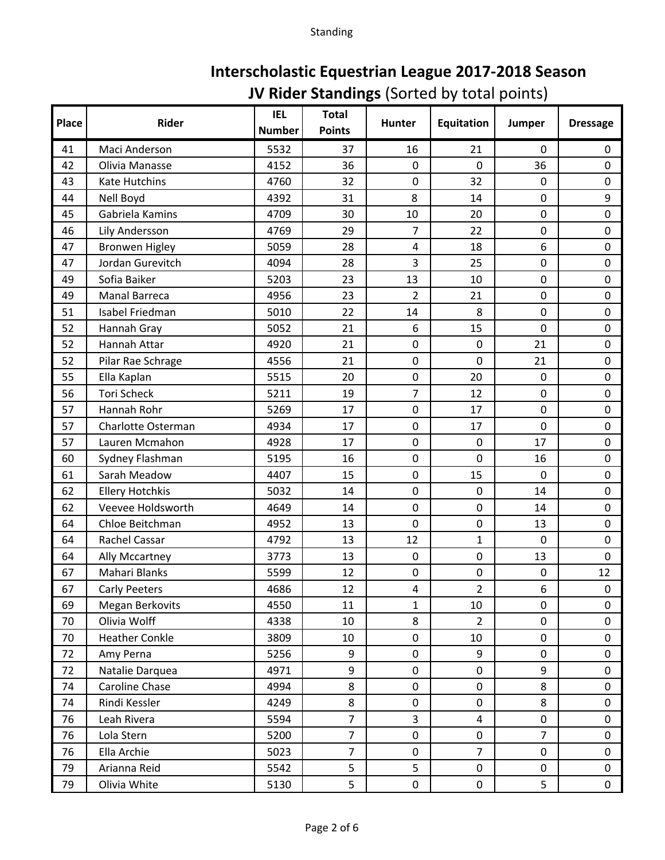## **Interscholastic Equestrian League 2017-2018 Season JV Rider Standings** (Sorted by total points)

|             | <b>Dressage</b>                                                                                              |
|-------------|--------------------------------------------------------------------------------------------------------------|
|             | 0                                                                                                            |
|             | 0                                                                                                            |
|             | $\pmb{0}$                                                                                                    |
|             | 9                                                                                                            |
|             | $\mathbf 0$                                                                                                  |
| 0           | $\mathbf 0$                                                                                                  |
| 6           | $\pmb{0}$                                                                                                    |
| $\mathbf 0$ | $\mathbf 0$                                                                                                  |
| $\mathbf 0$ | $\mathbf 0$                                                                                                  |
| 0           | $\mathbf 0$                                                                                                  |
| $\pmb{0}$   | $\pmb{0}$                                                                                                    |
| 0           | $\mathbf 0$                                                                                                  |
| 21          | $\mathbf 0$                                                                                                  |
| 21          | $\mathbf 0$                                                                                                  |
| $\pmb{0}$   | $\pmb{0}$                                                                                                    |
| $\mathbf 0$ | $\mathbf 0$                                                                                                  |
| $\mathbf 0$ | $\pmb{0}$                                                                                                    |
| 0           | $\mathbf 0$                                                                                                  |
| 17          | $\pmb{0}$                                                                                                    |
| 16          | $\mathbf 0$                                                                                                  |
| $\mathbf 0$ | $\pmb{0}$                                                                                                    |
| 14          | $\mathbf 0$                                                                                                  |
| 14          | $\pmb{0}$                                                                                                    |
| 13          | $\mathbf 0$                                                                                                  |
| $\mathbf 0$ | $\mathbf 0$                                                                                                  |
| 13          | $\mathbf 0$                                                                                                  |
| 0           | 12                                                                                                           |
|             | $\pmb{0}$                                                                                                    |
| 0           | 0                                                                                                            |
| 0           | $\mathbf 0$                                                                                                  |
| 0           | 0                                                                                                            |
| 0           | 0                                                                                                            |
|             | 0                                                                                                            |
|             | 0                                                                                                            |
|             | 0                                                                                                            |
|             | 0                                                                                                            |
|             | 0                                                                                                            |
|             | 0                                                                                                            |
|             | 0                                                                                                            |
|             | 0                                                                                                            |
|             | $\mathbf 0$<br>36<br>$\mathbf 0$<br>0<br>0<br>6<br>9<br>8<br>8<br>0<br>$\overline{7}$<br>0<br>$\pmb{0}$<br>5 |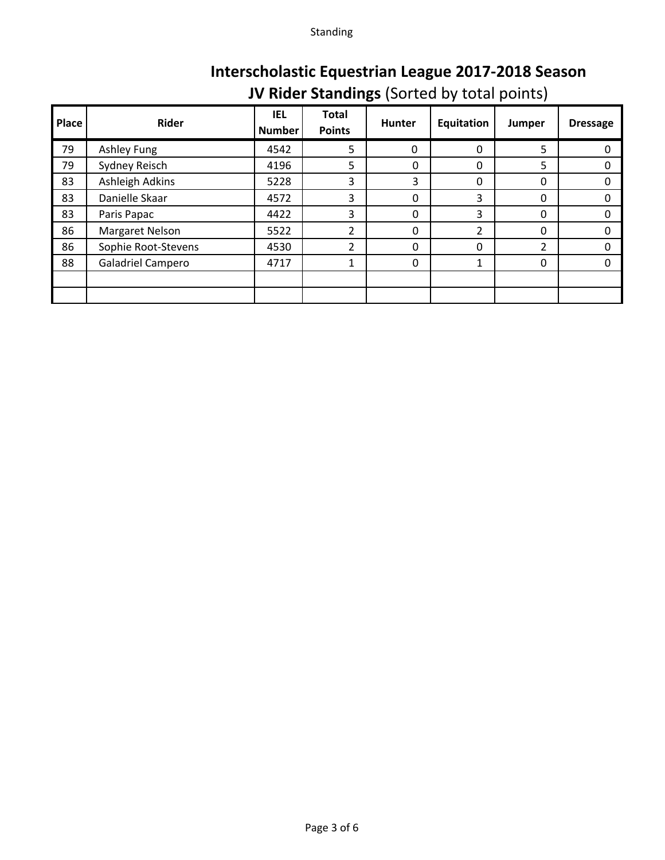| $\frac{1}{2}$ . There is a content of $\frac{1}{2}$ of $\frac{1}{2}$ of $\frac{1}{2}$ of $\frac{1}{2}$ of $\frac{1}{2}$ |                     |                       |                               |               |            |             |                 |  |  |
|-------------------------------------------------------------------------------------------------------------------------|---------------------|-----------------------|-------------------------------|---------------|------------|-------------|-----------------|--|--|
| Place                                                                                                                   | Rider               | IEL.<br><b>Number</b> | <b>Total</b><br><b>Points</b> | <b>Hunter</b> | Equitation | Jumper      | <b>Dressage</b> |  |  |
| 79                                                                                                                      | Ashley Fung         | 4542                  | 5                             | 0             | 0          | 5           |                 |  |  |
| 79                                                                                                                      | Sydney Reisch       | 4196                  | 5                             | 0             | 0          | 5           | 0               |  |  |
| 83                                                                                                                      | Ashleigh Adkins     | 5228                  | 3                             | 3             | 0          | $\mathbf 0$ | 0               |  |  |
| 83                                                                                                                      | Danielle Skaar      | 4572                  | 3                             | 0             | 3          | $\mathbf 0$ | 0               |  |  |
| 83                                                                                                                      | Paris Papac         | 4422                  | 3                             | 0             | 3          | $\mathbf 0$ | 0               |  |  |
| 86                                                                                                                      | Margaret Nelson     | 5522                  | $\overline{\mathbf{2}}$       | 0             | 2          | $\mathbf 0$ | 0               |  |  |
| 86                                                                                                                      | Sophie Root-Stevens | 4530                  | C                             | 0             | 0          | 2           | 0               |  |  |
| 88                                                                                                                      | Galadriel Campero   | 4717                  |                               | 0             | 1          | $\mathbf 0$ | 0               |  |  |
|                                                                                                                         |                     |                       |                               |               |            |             |                 |  |  |
|                                                                                                                         |                     |                       |                               |               |            |             |                 |  |  |

## **Interscholastic Equestrian League 2017-2018 Season JV Rider Standings** (Sorted by total points)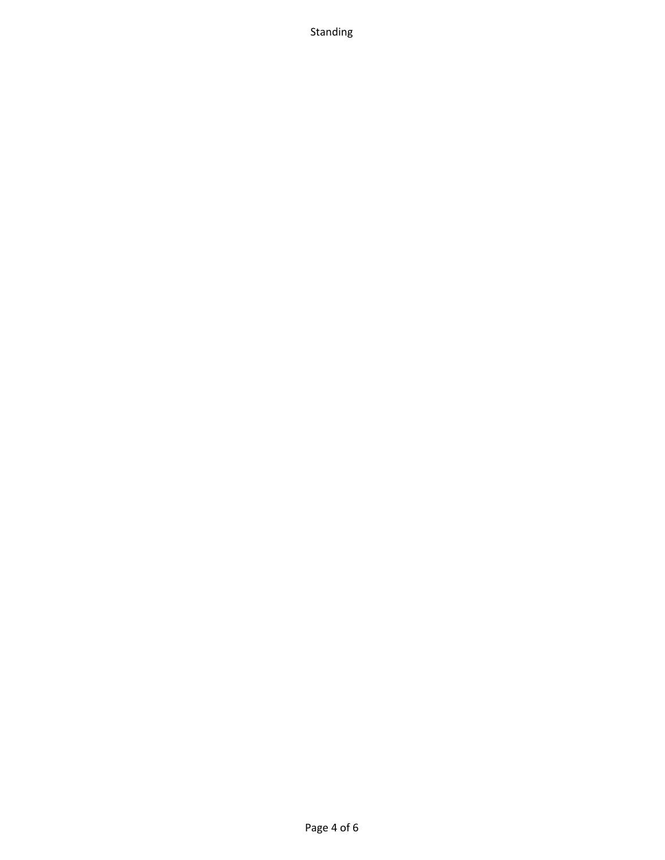Standing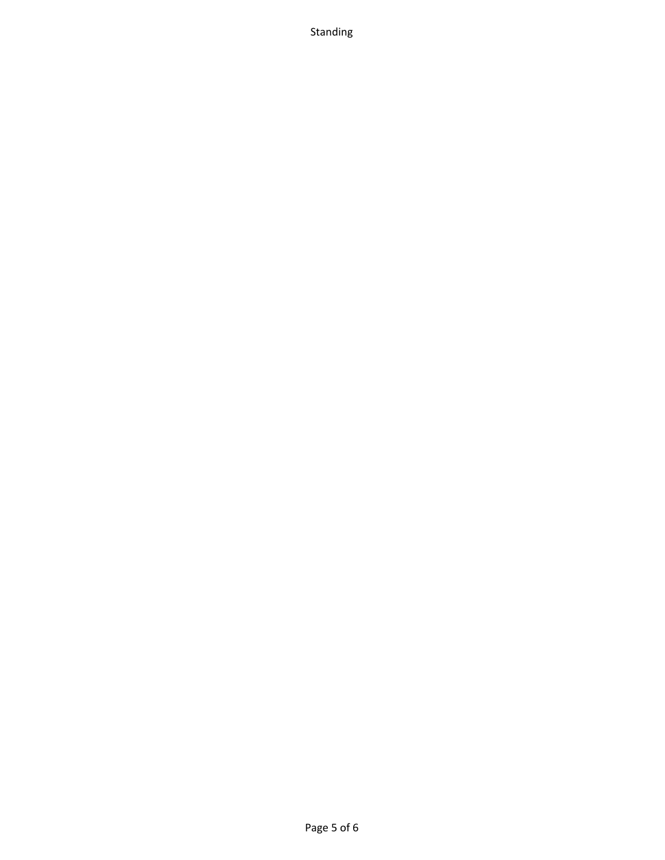Standing